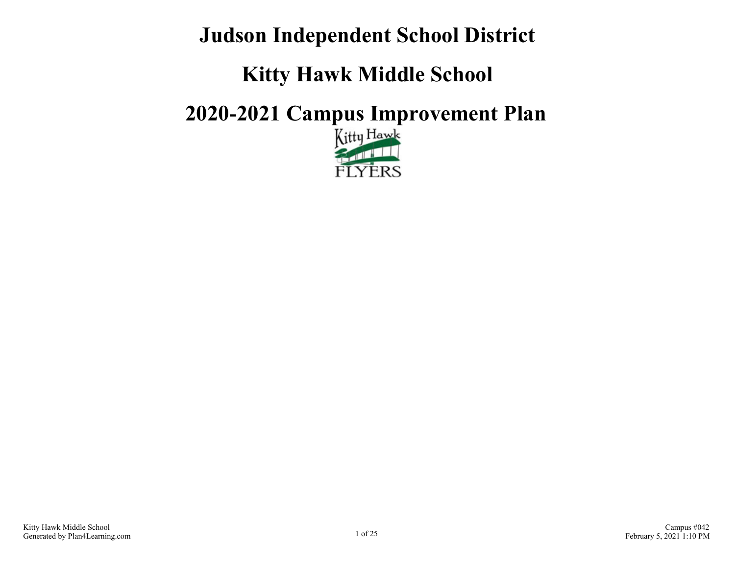# **Judson Independent School District**

# **Kitty Hawk Middle School**

# **2020-2021 Campus Improvement Plan**

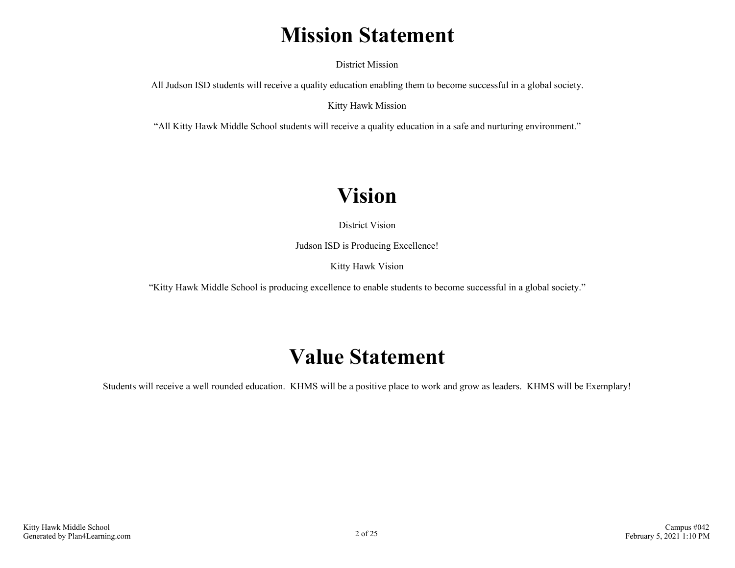# **Mission Statement**

District Mission

All Judson ISD students will receive a quality education enabling them to become successful in a global society.

Kitty Hawk Mission

"All Kitty Hawk Middle School students will receive a quality education in a safe and nurturing environment."

# **Vision**

District Vision

Judson ISD is Producing Excellence!

Kitty Hawk Vision

"Kitty Hawk Middle School is producing excellence to enable students to become successful in a global society."

## **Value Statement**

Students will receive a well rounded education. KHMS will be a positive place to work and grow as leaders. KHMS will be Exemplary!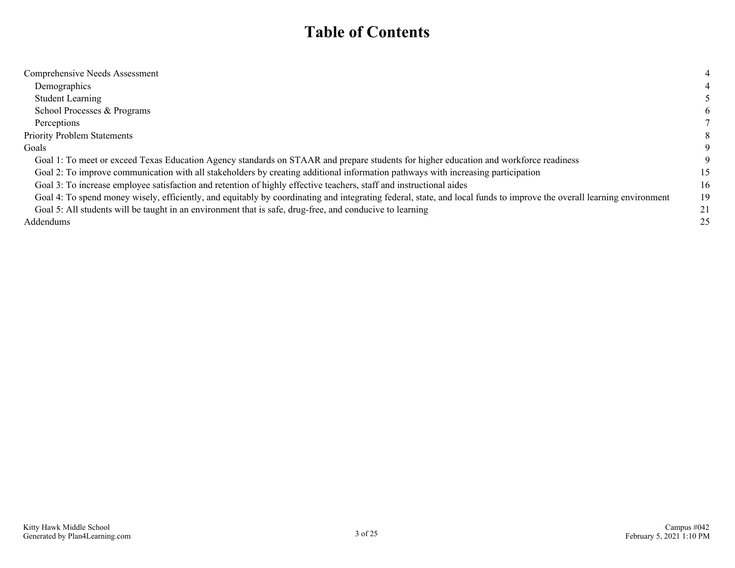## **Table of Contents**

| Comprehensive Needs Assessment                                                                                                                                        |    |
|-----------------------------------------------------------------------------------------------------------------------------------------------------------------------|----|
| Demographics                                                                                                                                                          |    |
| <b>Student Learning</b>                                                                                                                                               |    |
| School Processes & Programs                                                                                                                                           | 6  |
| Perceptions                                                                                                                                                           |    |
| <b>Priority Problem Statements</b>                                                                                                                                    | 8  |
| Goals                                                                                                                                                                 | 9  |
| Goal 1: To meet or exceed Texas Education Agency standards on STAAR and prepare students for higher education and workforce readiness                                 |    |
| Goal 2: To improve communication with all stakeholders by creating additional information pathways with increasing participation                                      | 15 |
| Goal 3: To increase employee satisfaction and retention of highly effective teachers, staff and instructional aides                                                   | 16 |
| Goal 4: To spend money wisely, efficiently, and equitably by coordinating and integrating federal, state, and local funds to improve the overall learning environment | 19 |
| Goal 5: All students will be taught in an environment that is safe, drug-free, and conducive to learning                                                              | 21 |
| Addendums                                                                                                                                                             | 25 |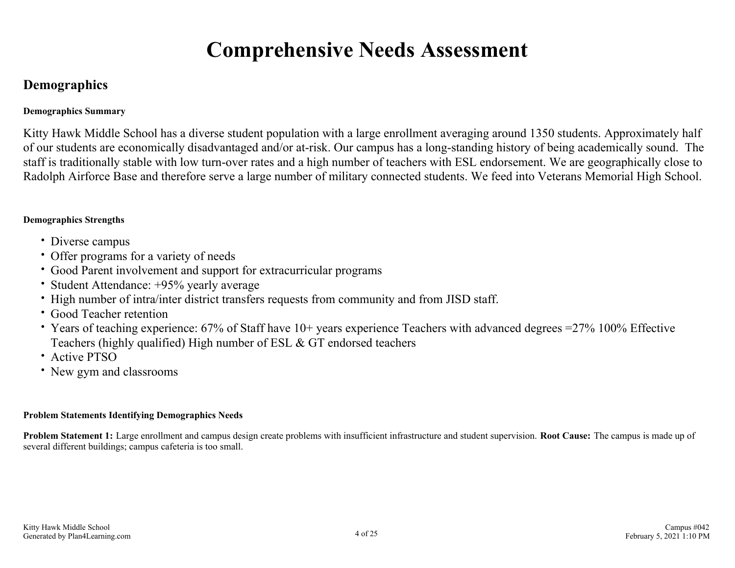# **Comprehensive Needs Assessment**

### <span id="page-3-0"></span>**Demographics**

### **Demographics Summary**

Kitty Hawk Middle School has a diverse student population with a large enrollment averaging around 1350 students. Approximately half of our students are economically disadvantaged and/or at-risk. Our campus has a long-standing history of being academically sound. The staff is traditionally stable with low turn-over rates and a high number of teachers with ESL endorsement. We are geographically close to Radolph Airforce Base and therefore serve a large number of military connected students. We feed into Veterans Memorial High School.

### **Demographics Strengths**

- Diverse campus
- Offer programs for a variety of needs
- Good Parent involvement and support for extracurricular programs
- Student Attendance: +95% yearly average
- High number of intra/inter district transfers requests from community and from JISD staff.
- Good Teacher retention
- Years of teaching experience: 67% of Staff have 10+ years experience Teachers with advanced degrees =27% 100% Effective Teachers (highly qualified) High number of ESL & GT endorsed teachers
- Active PTSO
- New gym and classrooms

#### **Problem Statements Identifying Demographics Needs**

**Problem Statement 1:** Large enrollment and campus design create problems with insufficient infrastructure and student supervision. **Root Cause:** The campus is made up of several different buildings; campus cafeteria is too small.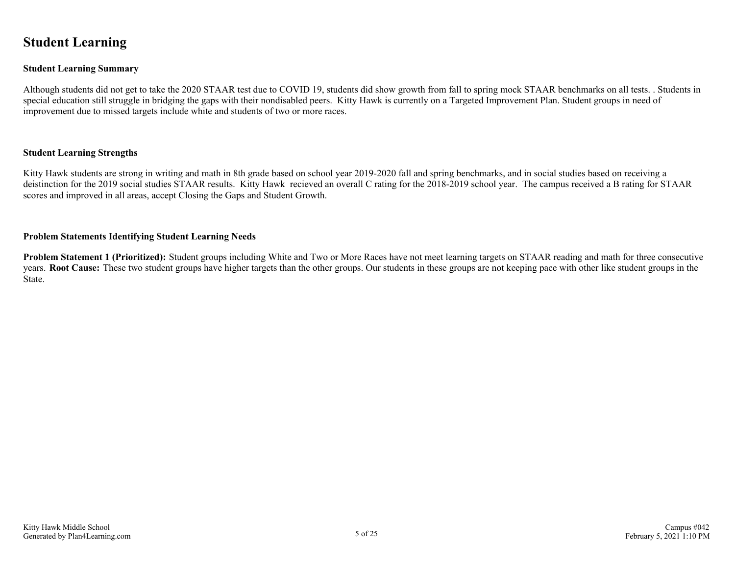### <span id="page-4-0"></span>**Student Learning**

#### **Student Learning Summary**

Although students did not get to take the 2020 STAAR test due to COVID 19, students did show growth from fall to spring mock STAAR benchmarks on all tests. . Students in special education still struggle in bridging the gaps with their nondisabled peers. Kitty Hawk is currently on a Targeted Improvement Plan. Student groups in need of improvement due to missed targets include white and students of two or more races.

#### **Student Learning Strengths**

Kitty Hawk students are strong in writing and math in 8th grade based on school year 2019-2020 fall and spring benchmarks, and in social studies based on receiving a deistinction for the 2019 social studies STAAR results. Kitty Hawk recieved an overall C rating for the 2018-2019 school year. The campus received a B rating for STAAR scores and improved in all areas, accept Closing the Gaps and Student Growth.

#### **Problem Statements Identifying Student Learning Needs**

**Problem Statement 1 (Prioritized):** Student groups including White and Two or More Races have not meet learning targets on STAAR reading and math for three consecutive years. **Root Cause:** These two student groups have higher targets than the other groups. Our students in these groups are not keeping pace with other like student groups in the State.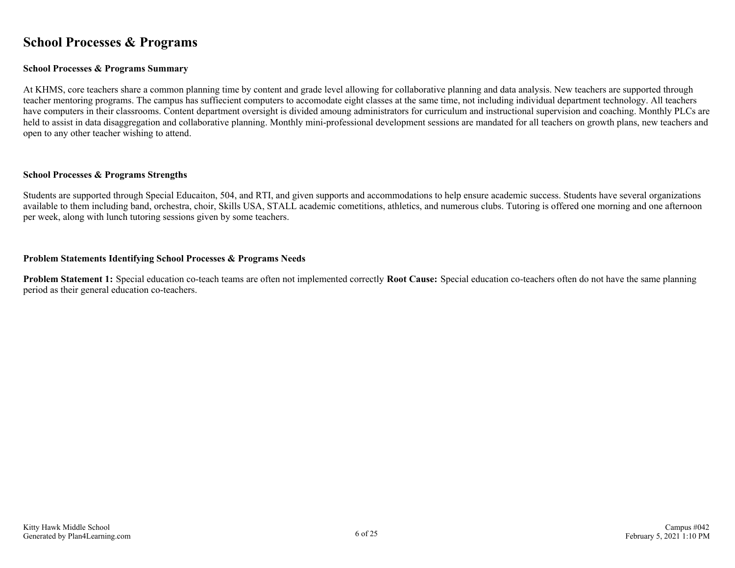### <span id="page-5-0"></span>**School Processes & Programs**

#### **School Processes & Programs Summary**

At KHMS, core teachers share a common planning time by content and grade level allowing for collaborative planning and data analysis. New teachers are supported through teacher mentoring programs. The campus has suffiecient computers to accomodate eight classes at the same time, not including individual department technology. All teachers have computers in their classrooms. Content department oversight is divided amoung administrators for curriculum and instructional supervision and coaching. Monthly PLCs are held to assist in data disaggregation and collaborative planning. Monthly mini-professional development sessions are mandated for all teachers on growth plans, new teachers and open to any other teacher wishing to attend.

#### **School Processes & Programs Strengths**

Students are supported through Special Educaiton, 504, and RTI, and given supports and accommodations to help ensure academic success. Students have several organizations available to them including band, orchestra, choir, Skills USA, STALL academic cometitions, athletics, and numerous clubs. Tutoring is offered one morning and one afternoon per week, along with lunch tutoring sessions given by some teachers.

#### **Problem Statements Identifying School Processes & Programs Needs**

**Problem Statement 1:** Special education co-teach teams are often not implemented correctly **Root Cause:** Special education co-teachers often do not have the same planning period as their general education co-teachers.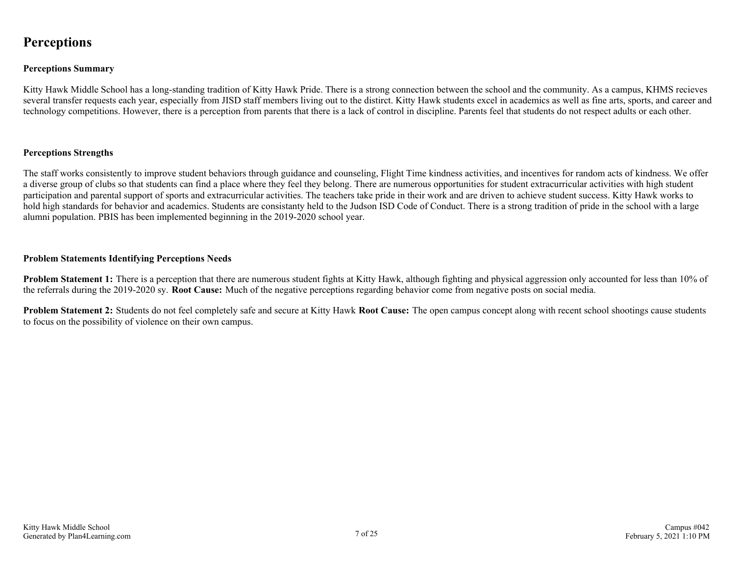### <span id="page-6-0"></span>**Perceptions**

#### **Perceptions Summary**

Kitty Hawk Middle School has a long-standing tradition of Kitty Hawk Pride. There is a strong connection between the school and the community. As a campus, KHMS recieves several transfer requests each year, especially from JISD staff members living out to the distirct. Kitty Hawk students excel in academics as well as fine arts, sports, and career and technology competitions. However, there is a perception from parents that there is a lack of control in discipline. Parents feel that students do not respect adults or each other.

#### **Perceptions Strengths**

The staff works consistently to improve student behaviors through guidance and counseling, Flight Time kindness activities, and incentives for random acts of kindness. We offer a diverse group of clubs so that students can find a place where they feel they belong. There are numerous opportunities for student extracurricular activities with high student participation and parental support of sports and extracurricular activities. The teachers take pride in their work and are driven to achieve student success. Kitty Hawk works to hold high standards for behavior and academics. Students are consistanty held to the Judson ISD Code of Conduct. There is a strong tradition of pride in the school with a large alumni population. PBIS has been implemented beginning in the 2019-2020 school year.

#### **Problem Statements Identifying Perceptions Needs**

**Problem Statement 1:** There is a perception that there are numerous student fights at Kitty Hawk, although fighting and physical aggression only accounted for less than 10% of the referrals during the 2019-2020 sy. **Root Cause:** Much of the negative perceptions regarding behavior come from negative posts on social media.

**Problem Statement 2:** Students do not feel completely safe and secure at Kitty Hawk **Root Cause:** The open campus concept along with recent school shootings cause students to focus on the possibility of violence on their own campus.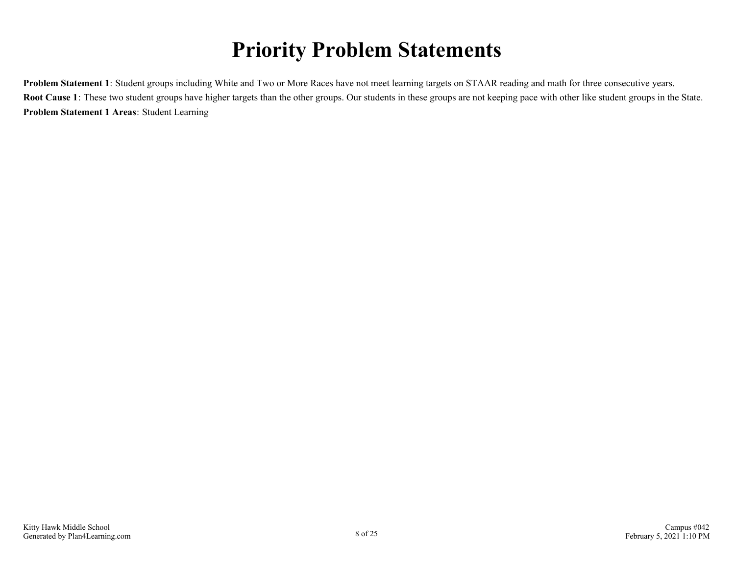# **Priority Problem Statements**

<span id="page-7-0"></span>**Problem Statement 1**: Student groups including White and Two or More Races have not meet learning targets on STAAR reading and math for three consecutive years. **Root Cause 1**: These two student groups have higher targets than the other groups. Our students in these groups are not keeping pace with other like student groups in the State. **Problem Statement 1 Areas**: Student Learning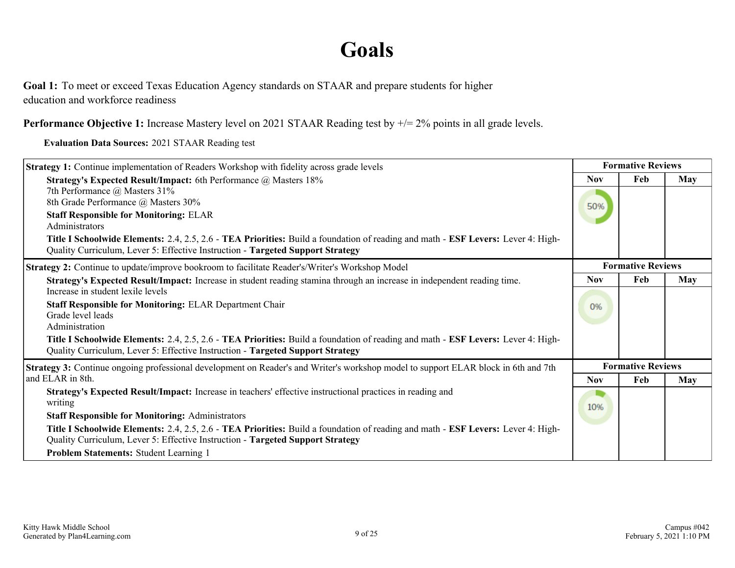## **Goals**

<span id="page-8-0"></span>Goal 1: To meet or exceed Texas Education Agency standards on STAAR and prepare students for higher education and workforce readiness

**Performance Objective 1:** Increase Mastery level on 2021 STAAR Reading test by  $\neq$  2% points in all grade levels.

**Evaluation Data Sources:** 2021 STAAR Reading test

| <b>Strategy 1:</b> Continue implementation of Readers Workshop with fidelity across grade levels                                                                                                                   | <b>Formative Reviews</b> |                          |            |
|--------------------------------------------------------------------------------------------------------------------------------------------------------------------------------------------------------------------|--------------------------|--------------------------|------------|
| Strategy's Expected Result/Impact: 6th Performance @ Masters 18%                                                                                                                                                   | <b>Nov</b>               | Feb                      | May        |
| 7th Performance @ Masters 31%<br>8th Grade Performance @ Masters 30%                                                                                                                                               | 50%                      |                          |            |
| <b>Staff Responsible for Monitoring: ELAR</b><br>Administrators                                                                                                                                                    |                          |                          |            |
| Title I Schoolwide Elements: 2.4, 2.5, 2.6 - TEA Priorities: Build a foundation of reading and math - ESF Levers: Lever 4: High-<br>Quality Curriculum, Lever 5: Effective Instruction - Targeted Support Strategy |                          |                          |            |
| Strategy 2: Continue to update/improve bookroom to facilitate Reader's/Writer's Workshop Model                                                                                                                     |                          | <b>Formative Reviews</b> |            |
| Strategy's Expected Result/Impact: Increase in student reading stamina through an increase in independent reading time.                                                                                            | <b>Nov</b>               | Feb                      | <b>May</b> |
| Increase in student lexile levels                                                                                                                                                                                  |                          |                          |            |
| <b>Staff Responsible for Monitoring: ELAR Department Chair</b>                                                                                                                                                     | 0%                       |                          |            |
| Grade level leads<br>Administration                                                                                                                                                                                |                          |                          |            |
| Title I Schoolwide Elements: 2.4, 2.5, 2.6 - TEA Priorities: Build a foundation of reading and math - ESF Levers: Lever 4: High-<br>Quality Curriculum, Lever 5: Effective Instruction - Targeted Support Strategy |                          |                          |            |
| Strategy 3: Continue ongoing professional development on Reader's and Writer's workshop model to support ELAR block in 6th and 7th                                                                                 |                          | <b>Formative Reviews</b> |            |
| and ELAR in 8th.                                                                                                                                                                                                   | <b>Nov</b>               | Feb                      | <b>May</b> |
| Strategy's Expected Result/Impact: Increase in teachers' effective instructional practices in reading and<br>writing                                                                                               | 10%                      |                          |            |
| <b>Staff Responsible for Monitoring: Administrators</b>                                                                                                                                                            |                          |                          |            |
| Title I Schoolwide Elements: 2.4, 2.5, 2.6 - TEA Priorities: Build a foundation of reading and math - ESF Levers: Lever 4: High-<br>Quality Curriculum, Lever 5: Effective Instruction - Targeted Support Strategy |                          |                          |            |
| Problem Statements: Student Learning 1                                                                                                                                                                             |                          |                          |            |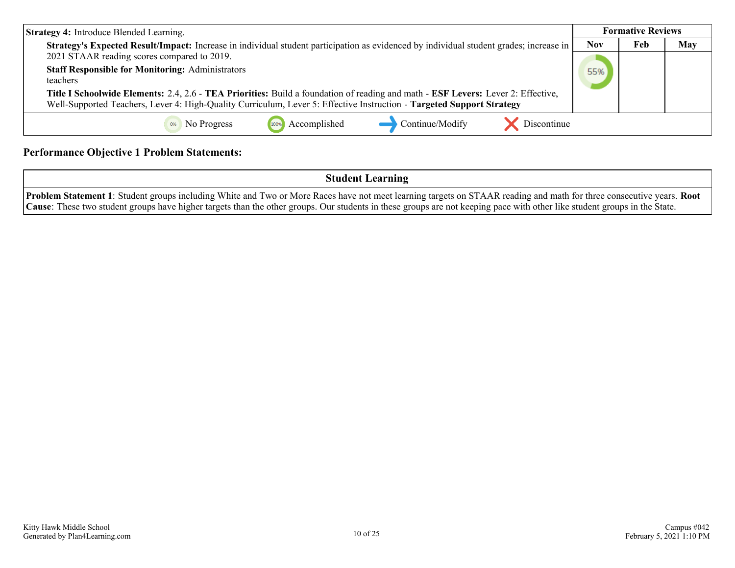| <b>Strategy 4: Introduce Blended Learning.</b>                                                                                                                                                                                                            |            | <b>Formative Reviews</b> |     |
|-----------------------------------------------------------------------------------------------------------------------------------------------------------------------------------------------------------------------------------------------------------|------------|--------------------------|-----|
| Strategy's Expected Result/Impact: Increase in individual student participation as evidenced by individual student grades; increase in<br>2021 STAAR reading scores compared to 2019.                                                                     | <b>Nov</b> | Feb                      | May |
| <b>Staff Responsible for Monitoring: Administrators</b><br>teachers                                                                                                                                                                                       | 55%        |                          |     |
| Title I Schoolwide Elements: 2.4, 2.6 - TEA Priorities: Build a foundation of reading and math - ESF Levers: Lever 2: Effective,<br>Well-Supported Teachers, Lever 4: High-Quality Curriculum, Lever 5: Effective Instruction - Targeted Support Strategy |            |                          |     |
| Discontinue<br>Continue/Modify<br>Accomplished<br>No Progress<br>100%                                                                                                                                                                                     |            |                          |     |

### **Performance Objective 1 Problem Statements:**

**Student Learning**

**Problem Statement 1**: Student groups including White and Two or More Races have not meet learning targets on STAAR reading and math for three consecutive years. **Root Cause**: These two student groups have higher targets than the other groups. Our students in these groups are not keeping pace with other like student groups in the State.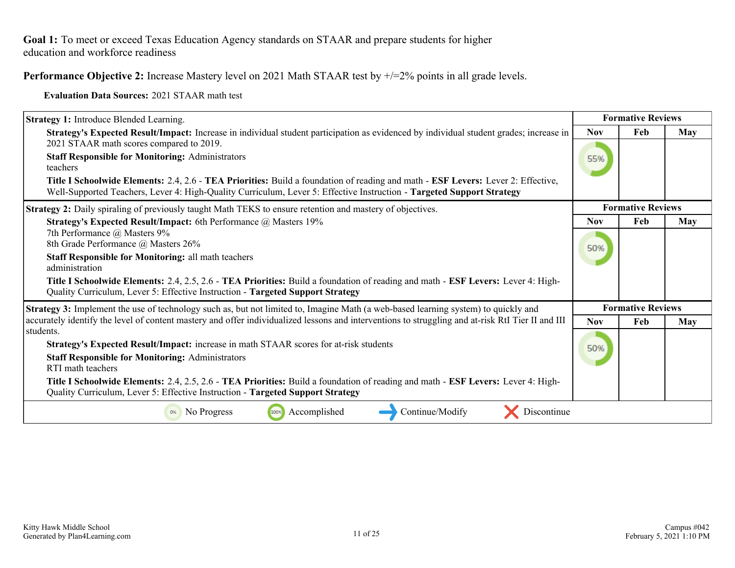### **Performance Objective 2:** Increase Mastery level on 2021 Math STAAR test by  $\pm$ /=2% points in all grade levels.

**Evaluation Data Sources:** 2021 STAAR math test

| <b>Strategy 1:</b> Introduce Blended Learning.                                                                                                                                                                                                            |            | <b>Formative Reviews</b> |     |
|-----------------------------------------------------------------------------------------------------------------------------------------------------------------------------------------------------------------------------------------------------------|------------|--------------------------|-----|
| Strategy's Expected Result/Impact: Increase in individual student participation as evidenced by individual student grades; increase in                                                                                                                    | <b>Nov</b> | Feb                      | May |
| 2021 STAAR math scores compared to 2019.<br><b>Staff Responsible for Monitoring: Administrators</b><br>teachers                                                                                                                                           | 55%        |                          |     |
| Title I Schoolwide Elements: 2.4, 2.6 - TEA Priorities: Build a foundation of reading and math - ESF Levers: Lever 2: Effective,<br>Well-Supported Teachers, Lever 4: High-Quality Curriculum, Lever 5: Effective Instruction - Targeted Support Strategy |            |                          |     |
| <b>Strategy 2:</b> Daily spiraling of previously taught Math TEKS to ensure retention and mastery of objectives.                                                                                                                                          |            | <b>Formative Reviews</b> |     |
| Strategy's Expected Result/Impact: 6th Performance @ Masters 19%                                                                                                                                                                                          | <b>Nov</b> | Feb                      | May |
| 7th Performance @ Masters 9%                                                                                                                                                                                                                              |            |                          |     |
| 8th Grade Performance @ Masters 26%<br><b>Staff Responsible for Monitoring: all math teachers</b>                                                                                                                                                         | 50%        |                          |     |
| administration                                                                                                                                                                                                                                            |            |                          |     |
| Title I Schoolwide Elements: 2.4, 2.5, 2.6 - TEA Priorities: Build a foundation of reading and math - ESF Levers: Lever 4: High-<br>Quality Curriculum, Lever 5: Effective Instruction - Targeted Support Strategy                                        |            |                          |     |
| Strategy 3: Implement the use of technology such as, but not limited to, Imagine Math (a web-based learning system) to quickly and                                                                                                                        |            | <b>Formative Reviews</b> |     |
| accurately identify the level of content mastery and offer individualized lessons and interventions to struggling and at-risk RtI Tier II and III                                                                                                         | <b>Nov</b> | Feb                      | May |
| students.                                                                                                                                                                                                                                                 |            |                          |     |
| Strategy's Expected Result/Impact: increase in math STAAR scores for at-risk students                                                                                                                                                                     | 50%        |                          |     |
| <b>Staff Responsible for Monitoring: Administrators</b><br>RTI math teachers                                                                                                                                                                              |            |                          |     |
| Title I Schoolwide Elements: 2.4, 2.5, 2.6 - TEA Priorities: Build a foundation of reading and math - ESF Levers: Lever 4: High-<br>Quality Curriculum, Lever 5: Effective Instruction - Targeted Support Strategy                                        |            |                          |     |
| Accomplished<br>Continue/Modify<br>No Progress<br>Discontinue<br>100%                                                                                                                                                                                     |            |                          |     |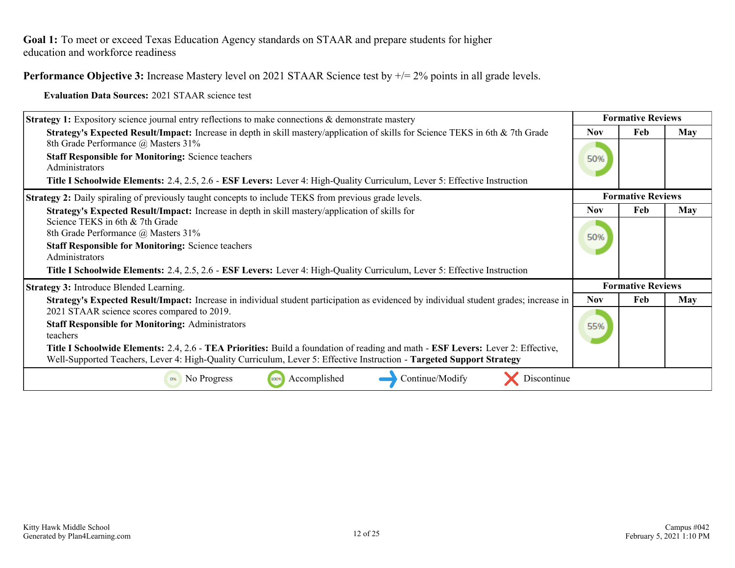**Performance Objective 3:** Increase Mastery level on 2021 STAAR Science test by  $\neq$  2% points in all grade levels.

**Evaluation Data Sources:** 2021 STAAR science test

| <b>Strategy 1:</b> Expository science journal entry reflections to make connections & demonstrate mastery                                                                                                                                                 | <b>Formative Reviews</b> |                          |            |
|-----------------------------------------------------------------------------------------------------------------------------------------------------------------------------------------------------------------------------------------------------------|--------------------------|--------------------------|------------|
| Strategy's Expected Result/Impact: Increase in depth in skill mastery/application of skills for Science TEKS in 6th & 7th Grade<br>8th Grade Performance @ Masters 31%                                                                                    | <b>Nov</b>               | Feb                      | <b>May</b> |
| <b>Staff Responsible for Monitoring: Science teachers</b><br>Administrators<br>Title I Schoolwide Elements: 2.4, 2.5, 2.6 - ESF Levers: Lever 4: High-Quality Curriculum, Lever 5: Effective Instruction                                                  | 50%                      |                          |            |
| <b>Strategy 2:</b> Daily spiraling of previously taught concepts to include TEKS from previous grade levels.                                                                                                                                              |                          | <b>Formative Reviews</b> |            |
| Strategy's Expected Result/Impact: Increase in depth in skill mastery/application of skills for                                                                                                                                                           | <b>Nov</b>               | Feb                      | <b>May</b> |
| Science TEKS in 6th & 7th Grade<br>8th Grade Performance @ Masters 31%                                                                                                                                                                                    | 50%                      |                          |            |
| <b>Staff Responsible for Monitoring: Science teachers</b><br>Administrators                                                                                                                                                                               |                          |                          |            |
| Title I Schoolwide Elements: 2.4, 2.5, 2.6 - ESF Levers: Lever 4: High-Quality Curriculum, Lever 5: Effective Instruction                                                                                                                                 |                          |                          |            |
| <b>Strategy 3: Introduce Blended Learning.</b>                                                                                                                                                                                                            |                          | <b>Formative Reviews</b> |            |
| Strategy's Expected Result/Impact: Increase in individual student participation as evidenced by individual student grades; increase in<br>2021 STAAR science scores compared to 2019.                                                                     | <b>Nov</b>               | Feb                      | May        |
| <b>Staff Responsible for Monitoring: Administrators</b><br>teachers                                                                                                                                                                                       | 55%                      |                          |            |
| Title I Schoolwide Elements: 2.4, 2.6 - TEA Priorities: Build a foundation of reading and math - ESF Levers: Lever 2: Effective,<br>Well-Supported Teachers, Lever 4: High-Quality Curriculum, Lever 5: Effective Instruction - Targeted Support Strategy |                          |                          |            |
| Accomplished<br>Continue/Modify<br>Discontinue<br>No Progress<br>100%<br>0%                                                                                                                                                                               |                          |                          |            |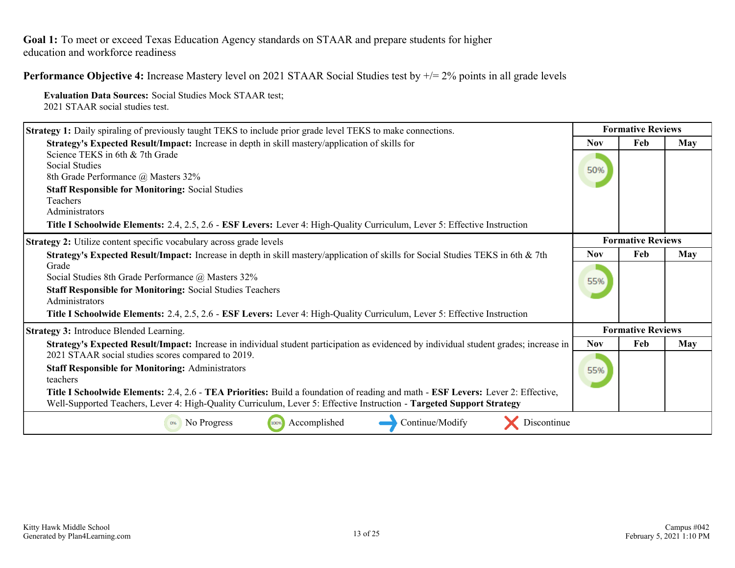**Performance Objective 4:** Increase Mastery level on 2021 STAAR Social Studies test by +/= 2% points in all grade levels

**Evaluation Data Sources:** Social Studies Mock STAAR test; 2021 STAAR social studies test.

| <b>Strategy 1:</b> Daily spiraling of previously taught TEKS to include prior grade level TEKS to make connections.                                                                                                                                       | <b>Formative Reviews</b> |                          |     |
|-----------------------------------------------------------------------------------------------------------------------------------------------------------------------------------------------------------------------------------------------------------|--------------------------|--------------------------|-----|
| Strategy's Expected Result/Impact: Increase in depth in skill mastery/application of skills for                                                                                                                                                           | <b>Nov</b>               | Feb                      | May |
| Science TEKS in 6th & 7th Grade                                                                                                                                                                                                                           |                          |                          |     |
| Social Studies<br>8th Grade Performance @ Masters 32%                                                                                                                                                                                                     | 50%                      |                          |     |
| <b>Staff Responsible for Monitoring: Social Studies</b>                                                                                                                                                                                                   |                          |                          |     |
| Teachers                                                                                                                                                                                                                                                  |                          |                          |     |
| Administrators                                                                                                                                                                                                                                            |                          |                          |     |
| Title I Schoolwide Elements: 2.4, 2.5, 2.6 - ESF Levers: Lever 4: High-Quality Curriculum, Lever 5: Effective Instruction                                                                                                                                 |                          |                          |     |
| <b>Strategy 2:</b> Utilize content specific vocabulary across grade levels                                                                                                                                                                                |                          | <b>Formative Reviews</b> |     |
| Strategy's Expected Result/Impact: Increase in depth in skill mastery/application of skills for Social Studies TEKS in 6th & 7th                                                                                                                          | <b>Nov</b>               | Feb                      | May |
| Grade                                                                                                                                                                                                                                                     |                          |                          |     |
| Social Studies 8th Grade Performance @ Masters 32%                                                                                                                                                                                                        | 55%                      |                          |     |
| <b>Staff Responsible for Monitoring: Social Studies Teachers</b><br>Administrators                                                                                                                                                                        |                          |                          |     |
| Title I Schoolwide Elements: 2.4, 2.5, 2.6 - ESF Levers: Lever 4: High-Quality Curriculum, Lever 5: Effective Instruction                                                                                                                                 |                          |                          |     |
| <b>Strategy 3: Introduce Blended Learning.</b>                                                                                                                                                                                                            |                          | <b>Formative Reviews</b> |     |
| Strategy's Expected Result/Impact: Increase in individual student participation as evidenced by individual student grades; increase in                                                                                                                    | <b>Nov</b>               | Feb                      | May |
| 2021 STAAR social studies scores compared to 2019.                                                                                                                                                                                                        |                          |                          |     |
| <b>Staff Responsible for Monitoring: Administrators</b><br>teachers                                                                                                                                                                                       | 55%                      |                          |     |
| Title I Schoolwide Elements: 2.4, 2.6 - TEA Priorities: Build a foundation of reading and math - ESF Levers: Lever 2: Effective,<br>Well-Supported Teachers, Lever 4: High-Quality Curriculum, Lever 5: Effective Instruction - Targeted Support Strategy |                          |                          |     |
| Continue/Modify<br>Discontinue<br>Accomplished<br>No Progress<br>100%<br>0%                                                                                                                                                                               |                          |                          |     |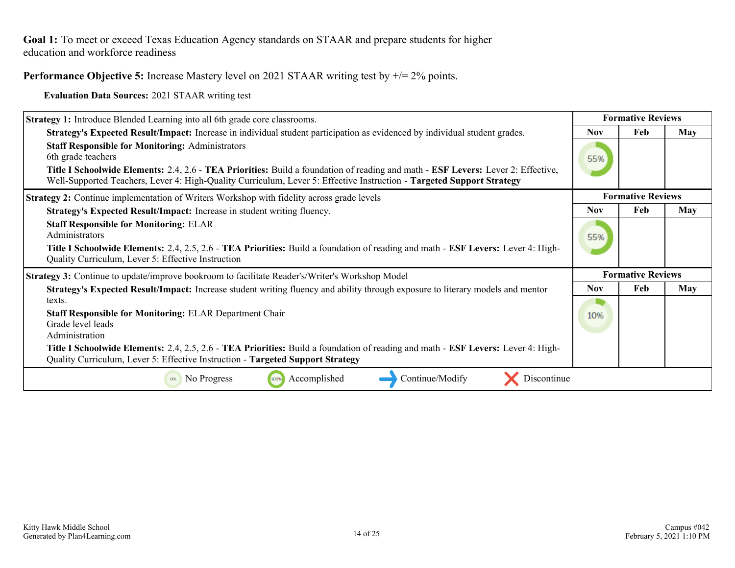**Performance Objective 5:** Increase Mastery level on 2021 STAAR writing test by  $\pm$  = 2% points.

**Evaluation Data Sources:** 2021 STAAR writing test

| <b>Strategy 1:</b> Introduce Blended Learning into all 6th grade core classrooms.                                                                                                                                                                                                                                                          | <b>Formative Reviews</b> |                          |            |
|--------------------------------------------------------------------------------------------------------------------------------------------------------------------------------------------------------------------------------------------------------------------------------------------------------------------------------------------|--------------------------|--------------------------|------------|
| Strategy's Expected Result/Impact: Increase in individual student participation as evidenced by individual student grades.                                                                                                                                                                                                                 | <b>Nov</b>               | Feb                      | May        |
| <b>Staff Responsible for Monitoring: Administrators</b><br>6th grade teachers<br>Title I Schoolwide Elements: 2.4, 2.6 - TEA Priorities: Build a foundation of reading and math - ESF Levers: Lever 2: Effective,<br>Well-Supported Teachers, Lever 4: High-Quality Curriculum, Lever 5: Effective Instruction - Targeted Support Strategy | 55%                      |                          |            |
| <b>Strategy 2:</b> Continue implementation of Writers Workshop with fidelity across grade levels                                                                                                                                                                                                                                           |                          | <b>Formative Reviews</b> |            |
| Strategy's Expected Result/Impact: Increase in student writing fluency.                                                                                                                                                                                                                                                                    | <b>Nov</b>               | Feb                      | <b>May</b> |
| <b>Staff Responsible for Monitoring: ELAR</b><br>Administrators<br>Title I Schoolwide Elements: 2.4, 2.5, 2.6 - TEA Priorities: Build a foundation of reading and math - ESF Levers: Lever 4: High-<br>Quality Curriculum, Lever 5: Effective Instruction                                                                                  | 55%                      |                          |            |
| <b>Strategy 3:</b> Continue to update/improve bookroom to facilitate Reader's/Writer's Workshop Model                                                                                                                                                                                                                                      |                          | <b>Formative Reviews</b> |            |
| Strategy's Expected Result/Impact: Increase student writing fluency and ability through exposure to literary models and mentor                                                                                                                                                                                                             | <b>Nov</b>               | Feb                      | May        |
| texts.                                                                                                                                                                                                                                                                                                                                     |                          |                          |            |
| <b>Staff Responsible for Monitoring: ELAR Department Chair</b><br>Grade level leads<br>Administration                                                                                                                                                                                                                                      | 10%                      |                          |            |
| Title I Schoolwide Elements: 2.4, 2.5, 2.6 - TEA Priorities: Build a foundation of reading and math - ESF Levers: Lever 4: High-<br>Quality Curriculum, Lever 5: Effective Instruction - Targeted Support Strategy                                                                                                                         |                          |                          |            |
| Continue/Modify<br>No Progress<br>Accomplished<br>Discontinue<br>100%                                                                                                                                                                                                                                                                      |                          |                          |            |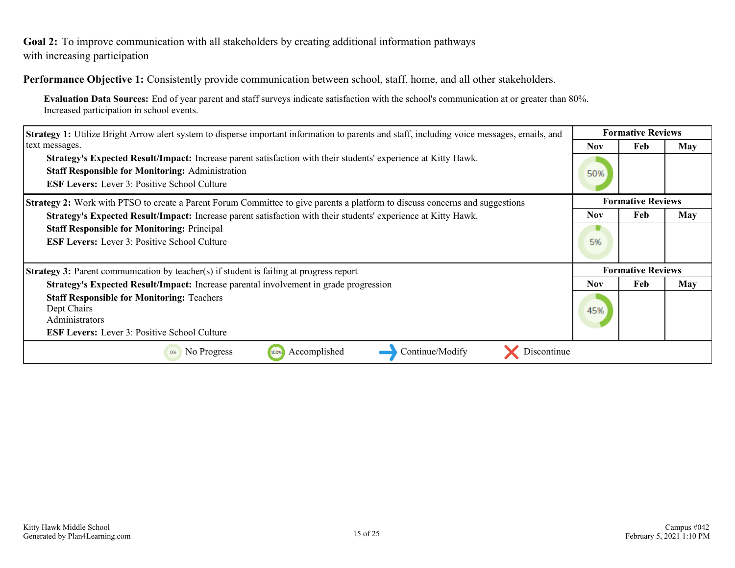<span id="page-14-0"></span>**Goal 2:** To improve communication with all stakeholders by creating additional information pathways with increasing participation

**Performance Objective 1:** Consistently provide communication between school, staff, home, and all other stakeholders.

**Evaluation Data Sources:** End of year parent and staff surveys indicate satisfaction with the school's communication at or greater than 80%. Increased participation in school events.

| <b>Strategy 1:</b> Utilize Bright Arrow alert system to disperse important information to parents and staff, including voice messages, emails, and                                                                                      |            | <b>Formative Reviews</b> |     |
|-----------------------------------------------------------------------------------------------------------------------------------------------------------------------------------------------------------------------------------------|------------|--------------------------|-----|
| text messages.                                                                                                                                                                                                                          | Nov.       | Feb                      | May |
| <b>Strategy's Expected Result/Impact:</b> Increase parent satisfaction with their students' experience at Kitty Hawk.<br><b>Staff Responsible for Monitoring: Administration</b><br><b>ESF Levers:</b> Lever 3: Positive School Culture | 50%        |                          |     |
| <b>Strategy 2:</b> Work with PTSO to create a Parent Forum Committee to give parents a platform to discuss concerns and suggestions                                                                                                     |            | <b>Formative Reviews</b> |     |
| Strategy's Expected Result/Impact: Increase parent satisfaction with their students' experience at Kitty Hawk.                                                                                                                          | <b>Nov</b> | Feb                      | May |
| <b>Staff Responsible for Monitoring: Principal</b>                                                                                                                                                                                      |            |                          |     |
| <b>ESF Levers:</b> Lever 3: Positive School Culture                                                                                                                                                                                     | 5%         |                          |     |
| <b>Strategy 3:</b> Parent communication by teacher(s) if student is failing at progress report                                                                                                                                          |            | <b>Formative Reviews</b> |     |
| Strategy's Expected Result/Impact: Increase parental involvement in grade progression                                                                                                                                                   | Nov.       | <b>Feb</b>               | May |
| <b>Staff Responsible for Monitoring: Teachers</b><br>Dept Chairs<br>Administrators<br><b>ESF Levers:</b> Lever 3: Positive School Culture                                                                                               | 45%        |                          |     |
| Continue/Modify<br>Accomplished<br>No Progress<br>Discontinue<br>100%<br>0%                                                                                                                                                             |            |                          |     |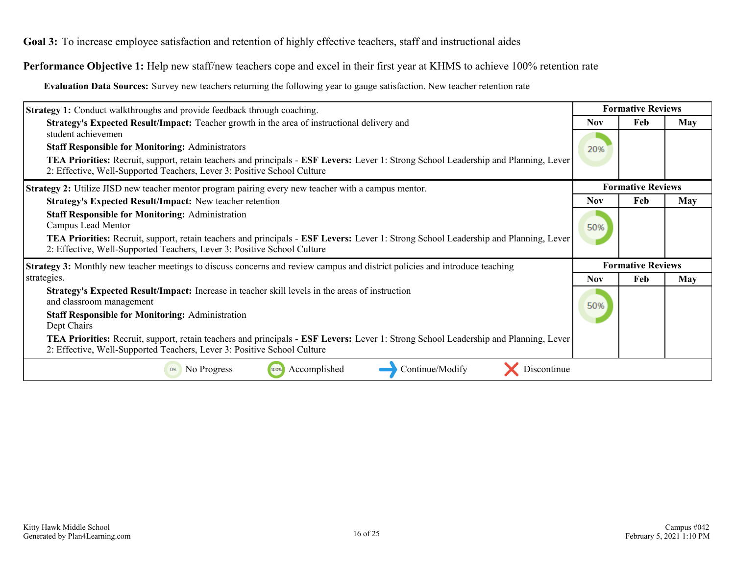<span id="page-15-0"></span>**Goal 3:** To increase employee satisfaction and retention of highly effective teachers, staff and instructional aides

**Performance Objective 1:** Help new staff/new teachers cope and excel in their first year at KHMS to achieve 100% retention rate

**Evaluation Data Sources:** Survey new teachers returning the following year to gauge satisfaction. New teacher retention rate

| <b>Strategy 1:</b> Conduct walkthroughs and provide feedback through coaching.                                                                                                                                                |            | <b>Formative Reviews</b> |            |
|-------------------------------------------------------------------------------------------------------------------------------------------------------------------------------------------------------------------------------|------------|--------------------------|------------|
| Strategy's Expected Result/Impact: Teacher growth in the area of instructional delivery and                                                                                                                                   | <b>Nov</b> | Feb                      | May        |
| student achievemen                                                                                                                                                                                                            |            |                          |            |
| <b>Staff Responsible for Monitoring: Administrators</b>                                                                                                                                                                       | 20%        |                          |            |
| TEA Priorities: Recruit, support, retain teachers and principals - ESF Levers: Lever 1: Strong School Leadership and Planning, Lever<br>2: Effective, Well-Supported Teachers, Lever 3: Positive School Culture               |            |                          |            |
| <b>Strategy 2:</b> Utilize JISD new teacher mentor program pairing every new teacher with a campus mentor.                                                                                                                    |            | <b>Formative Reviews</b> |            |
| <b>Strategy's Expected Result/Impact:</b> New teacher retention                                                                                                                                                               | <b>Nov</b> | Feb                      | <b>May</b> |
| <b>Staff Responsible for Monitoring: Administration</b><br>Campus Lead Mentor                                                                                                                                                 | 50%        |                          |            |
| <b>TEA Priorities:</b> Recruit, support, retain teachers and principals - <b>ESF Levers:</b> Lever 1: Strong School Leadership and Planning, Lever<br>2: Effective, Well-Supported Teachers, Lever 3: Positive School Culture |            |                          |            |
| <b>Strategy 3:</b> Monthly new teacher meetings to discuss concerns and review campus and district policies and introduce teaching                                                                                            |            | <b>Formative Reviews</b> |            |
| strategies.                                                                                                                                                                                                                   | <b>Nov</b> | Feb                      | May        |
| Strategy's Expected Result/Impact: Increase in teacher skill levels in the areas of instruction<br>and classroom management                                                                                                   | 50%        |                          |            |
| <b>Staff Responsible for Monitoring: Administration</b>                                                                                                                                                                       |            |                          |            |
| Dept Chairs                                                                                                                                                                                                                   |            |                          |            |
| <b>TEA Priorities:</b> Recruit, support, retain teachers and principals - <b>ESF Levers:</b> Lever 1: Strong School Leadership and Planning, Lever<br>2: Effective, Well-Supported Teachers, Lever 3: Positive School Culture |            |                          |            |
| Accomplished<br>Continue/Modify<br>No Progress<br>Discontinue<br>100%                                                                                                                                                         |            |                          |            |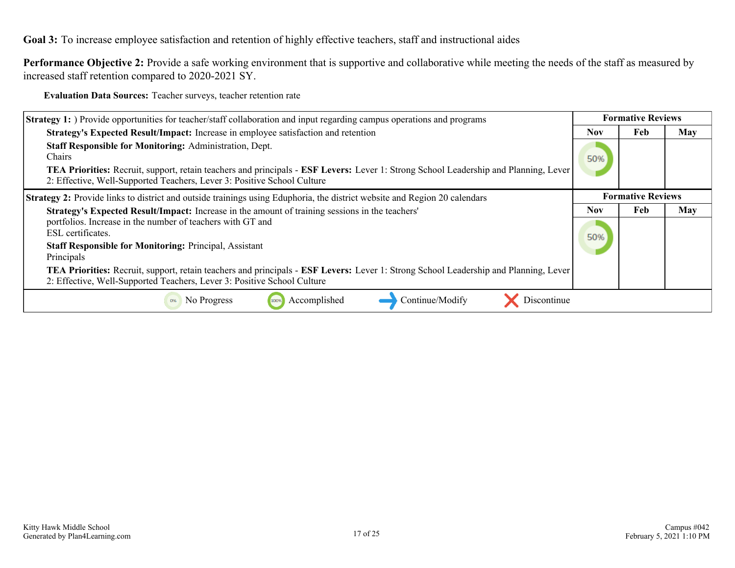**Goal 3:** To increase employee satisfaction and retention of highly effective teachers, staff and instructional aides

**Performance Objective 2:** Provide a safe working environment that is supportive and collaborative while meeting the needs of the staff as measured by increased staff retention compared to 2020-2021 SY.

**Evaluation Data Sources:** Teacher surveys, teacher retention rate

| <b>Strategy 1:</b> Provide opportunities for teacher/staff collaboration and input regarding campus operations and programs                                                                                                                                                                        | <b>Formative Reviews</b> |                          |     |
|----------------------------------------------------------------------------------------------------------------------------------------------------------------------------------------------------------------------------------------------------------------------------------------------------|--------------------------|--------------------------|-----|
| <b>Strategy's Expected Result/Impact:</b> Increase in employee satisfaction and retention                                                                                                                                                                                                          | <b>Nov</b>               | Feb                      | May |
| <b>Staff Responsible for Monitoring: Administration, Dept.</b><br><b>Chairs</b><br>TEA Priorities: Recruit, support, retain teachers and principals - ESF Levers: Lever 1: Strong School Leadership and Planning, Lever<br>2: Effective, Well-Supported Teachers, Lever 3: Positive School Culture | 50%                      |                          |     |
| <b>Strategy 2:</b> Provide links to district and outside trainings using Eduphoria, the district website and Region 20 calendars                                                                                                                                                                   |                          | <b>Formative Reviews</b> |     |
| Strategy's Expected Result/Impact: Increase in the amount of training sessions in the teachers'                                                                                                                                                                                                    | <b>Nov</b>               | Feb                      | May |
| portfolios. Increase in the number of teachers with GT and<br>ESL certificates.                                                                                                                                                                                                                    |                          |                          |     |
| <b>Staff Responsible for Monitoring: Principal, Assistant</b>                                                                                                                                                                                                                                      | 50%                      |                          |     |
| Principals                                                                                                                                                                                                                                                                                         |                          |                          |     |
| TEA Priorities: Recruit, support, retain teachers and principals - ESF Levers: Lever 1: Strong School Leadership and Planning, Lever<br>2: Effective, Well-Supported Teachers, Lever 3: Positive School Culture                                                                                    |                          |                          |     |
| Continue/Modify<br>No Progress<br>Accomplished<br>Discontinue<br>0%<br>100%                                                                                                                                                                                                                        |                          |                          |     |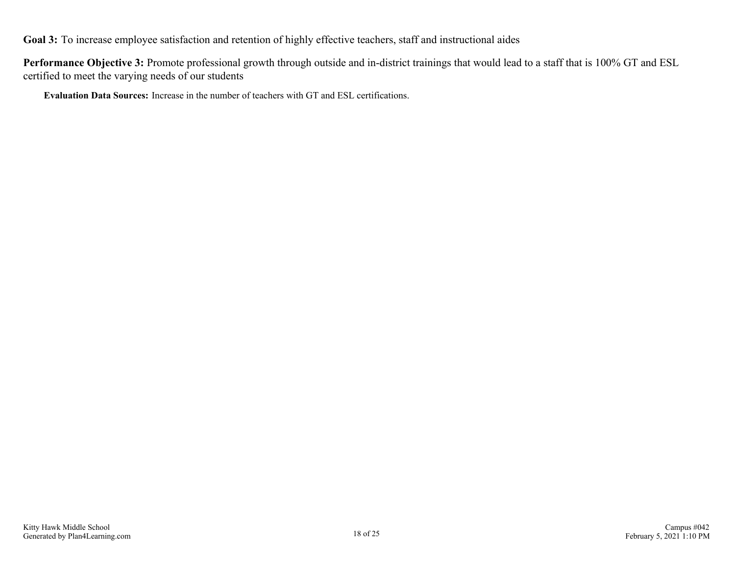**Goal 3:** To increase employee satisfaction and retention of highly effective teachers, staff and instructional aides

**Performance Objective 3:** Promote professional growth through outside and in-district trainings that would lead to a staff that is 100% GT and ESL certified to meet the varying needs of our students

**Evaluation Data Sources:** Increase in the number of teachers with GT and ESL certifications.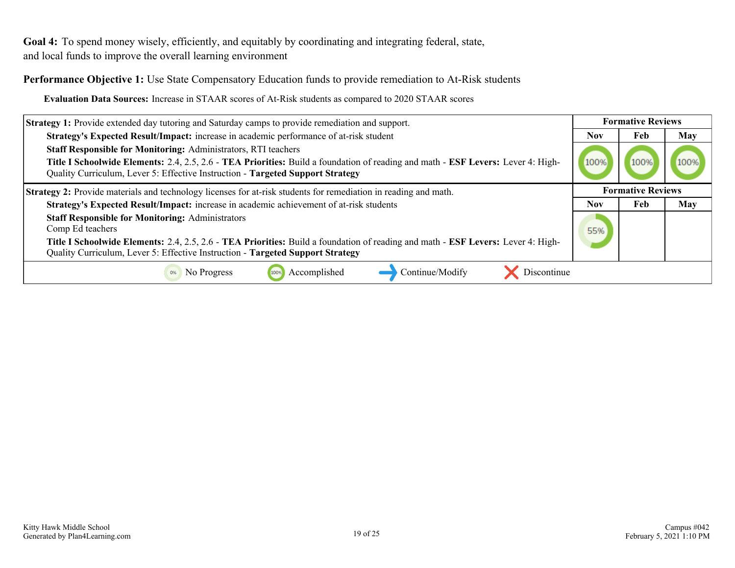<span id="page-18-0"></span>Goal 4: To spend money wisely, efficiently, and equitably by coordinating and integrating federal, state, and local funds to improve the overall learning environment

**Performance Objective 1:** Use State Compensatory Education funds to provide remediation to At-Risk students

**Evaluation Data Sources:** Increase in STAAR scores of At-Risk students as compared to 2020 STAAR scores

| <b>Strategy 1:</b> Provide extended day tutoring and Saturday camps to provide remediation and support.                                                                                                            |      | <b>Formative Reviews</b> |     |
|--------------------------------------------------------------------------------------------------------------------------------------------------------------------------------------------------------------------|------|--------------------------|-----|
| Strategy's Expected Result/Impact: increase in academic performance of at-risk student                                                                                                                             | Nov  | Feb                      | May |
| <b>Staff Responsible for Monitoring: Administrators, RTI teachers</b>                                                                                                                                              |      |                          |     |
| Title I Schoolwide Elements: 2.4, 2.5, 2.6 - TEA Priorities: Build a foundation of reading and math - ESF Levers: Lever 4: High-<br>Quality Curriculum, Lever 5: Effective Instruction - Targeted Support Strategy | 100% |                          |     |
| <b>Strategy 2:</b> Provide materials and technology licenses for at-risk students for remediation in reading and math.                                                                                             |      | <b>Formative Reviews</b> |     |
| Strategy's Expected Result/Impact: increase in academic achievement of at-risk students                                                                                                                            | Nov. | Feb                      | May |
| <b>Staff Responsible for Monitoring: Administrators</b><br>Comp Ed teachers                                                                                                                                        | 55%  |                          |     |
| Title I Schoolwide Elements: 2.4, 2.5, 2.6 - TEA Priorities: Build a foundation of reading and math - ESF Levers: Lever 4: High-<br>Quality Curriculum, Lever 5: Effective Instruction - Targeted Support Strategy |      |                          |     |
| Accomplished<br>Continue/Modify<br>Discontinue<br>No Progress<br>100%                                                                                                                                              |      |                          |     |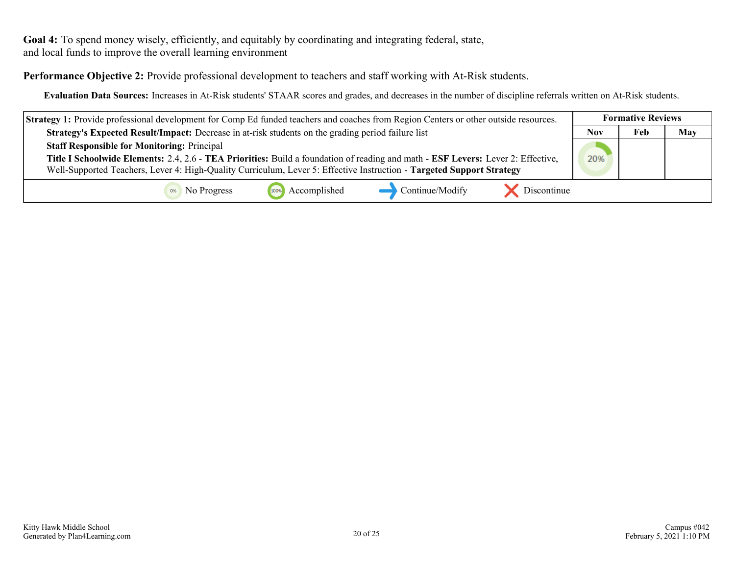Goal 4: To spend money wisely, efficiently, and equitably by coordinating and integrating federal, state, and local funds to improve the overall learning environment

**Performance Objective 2:** Provide professional development to teachers and staff working with At-Risk students.

**Evaluation Data Sources:** Increases in At-Risk students' STAAR scores and grades, and decreases in the number of discipline referrals written on At-Risk students.

| <b>Strategy 1:</b> Provide professional development for Comp Ed funded teachers and coaches from Region Centers or other outside resources. | <b>Formative Reviews</b> |     |     |
|---------------------------------------------------------------------------------------------------------------------------------------------|--------------------------|-----|-----|
| Strategy's Expected Result/Impact: Decrease in at-risk students on the grading period failure list                                          | <b>Nov</b>               | Feb | May |
| <b>Staff Responsible for Monitoring: Principal</b>                                                                                          |                          |     |     |
| Title I Schoolwide Elements: 2.4, 2.6 - TEA Priorities: Build a foundation of reading and math - ESF Levers: Lever 2: Effective,            | 20%                      |     |     |
| Well-Supported Teachers, Lever 4: High-Quality Curriculum, Lever 5: Effective Instruction - Targeted Support Strategy                       |                          |     |     |
| Continue/Modify<br>100% Accomplished<br>Discontinue<br><sup>0%</sup> No Progress                                                            |                          |     |     |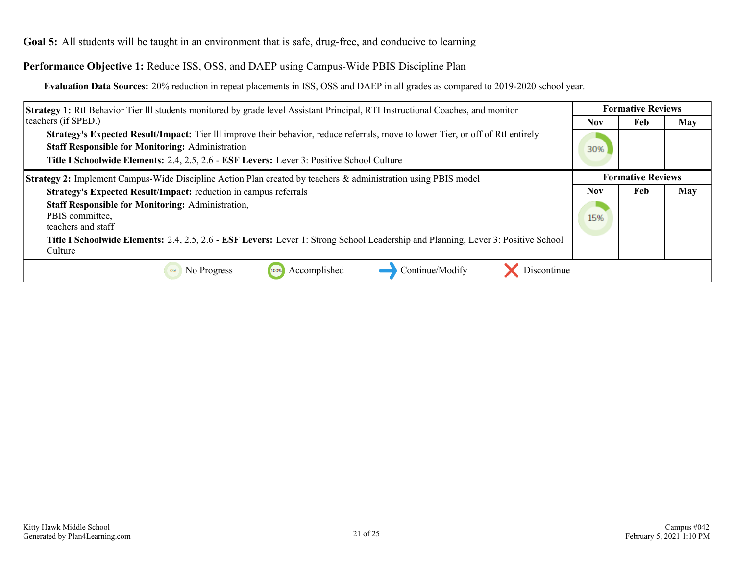### <span id="page-20-0"></span>**Performance Objective 1:** Reduce ISS, OSS, and DAEP using Campus-Wide PBIS Discipline Plan

**Evaluation Data Sources:** 20% reduction in repeat placements in ISS, OSS and DAEP in all grades as compared to 2019-2020 school year.

| <b>Strategy 1:</b> RtI Behavior Tier III students monitored by grade level Assistant Principal, RTI Instructional Coaches, and monitor       |            | <b>Formative Reviews</b> |     |  |
|----------------------------------------------------------------------------------------------------------------------------------------------|------------|--------------------------|-----|--|
| teachers (if SPED.)                                                                                                                          | <b>Nov</b> | Feb                      | May |  |
| <b>Strategy's Expected Result/Impact:</b> Tier III improve their behavior, reduce referrals, move to lower Tier, or off of RtI entirely      |            |                          |     |  |
| <b>Staff Responsible for Monitoring: Administration</b>                                                                                      | 30%        |                          |     |  |
| Title I Schoolwide Elements: 2.4, 2.5, 2.6 - ESF Levers: Lever 3: Positive School Culture                                                    |            |                          |     |  |
| <b>Strategy 2:</b> Implement Campus-Wide Discipline Action Plan created by teachers & administration using PBIS model                        |            | <b>Formative Reviews</b> |     |  |
| Strategy's Expected Result/Impact: reduction in campus referrals                                                                             | <b>Nov</b> | Feb                      | May |  |
| <b>Staff Responsible for Monitoring: Administration,</b><br>PBIS committee,<br>teachers and staff                                            | 15%        |                          |     |  |
| Title I Schoolwide Elements: 2.4, 2.5, 2.6 - ESF Levers: Lever 1: Strong School Leadership and Planning, Lever 3: Positive School<br>Culture |            |                          |     |  |
| Accomplished<br>Continue/Modify<br>No Progress<br>Discontinue<br>100%<br>0%                                                                  |            |                          |     |  |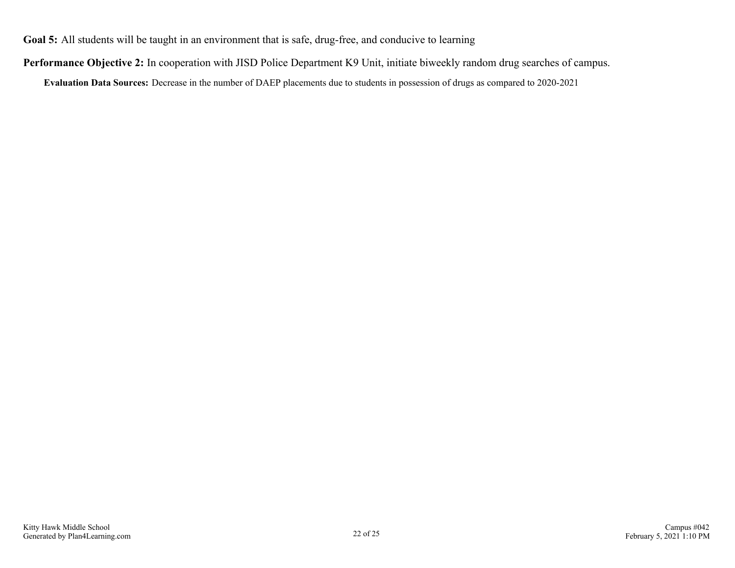**Performance Objective 2:** In cooperation with JISD Police Department K9 Unit, initiate biweekly random drug searches of campus.

**Evaluation Data Sources:** Decrease in the number of DAEP placements due to students in possession of drugs as compared to 2020-2021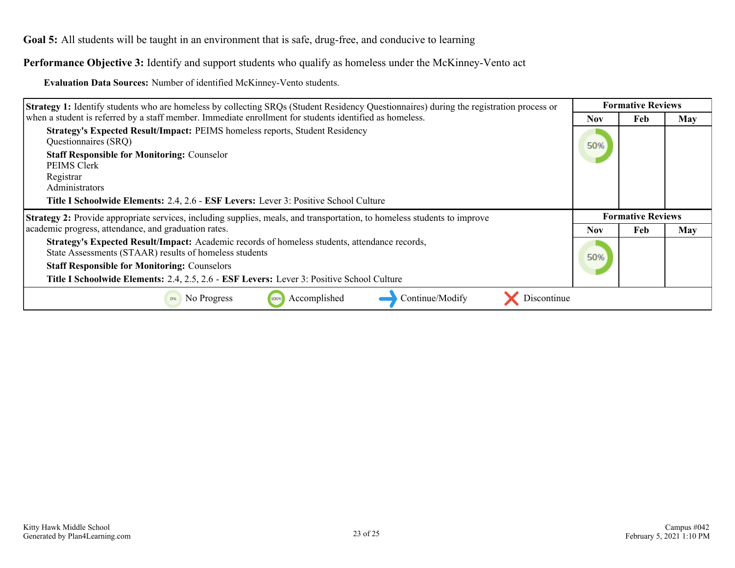**Performance Objective 3:** Identify and support students who qualify as homeless under the McKinney-Vento act

**Evaluation Data Sources:** Number of identified McKinney-Vento students.

| <b>Strategy 1:</b> Identify students who are homeless by collecting SRQs (Student Residency Questionnaires) during the registration process or          |            | <b>Formative Reviews</b> |            |  |
|---------------------------------------------------------------------------------------------------------------------------------------------------------|------------|--------------------------|------------|--|
| when a student is referred by a staff member. Immediate enrollment for students identified as homeless.                                                 | Nov        | Feb                      | <b>May</b> |  |
| Strategy's Expected Result/Impact: PEIMS homeless reports, Student Residency<br>Questionnaires (SRQ)                                                    | 50%        |                          |            |  |
| <b>Staff Responsible for Monitoring: Counselor</b><br><b>PEIMS Clerk</b>                                                                                |            |                          |            |  |
| Registrar                                                                                                                                               |            |                          |            |  |
| Administrators                                                                                                                                          |            |                          |            |  |
| Title I Schoolwide Elements: 2.4, 2.6 - ESF Levers: Lever 3: Positive School Culture                                                                    |            |                          |            |  |
| <b>Strategy 2:</b> Provide appropriate services, including supplies, meals, and transportation, to homeless students to improve                         |            | <b>Formative Reviews</b> |            |  |
| academic progress, attendance, and graduation rates.                                                                                                    | <b>Nov</b> | Feb                      | May        |  |
| Strategy's Expected Result/Impact: Academic records of homeless students, attendance records,<br>State Assessments (STAAR) results of homeless students |            |                          |            |  |
|                                                                                                                                                         |            |                          |            |  |
| <b>Staff Responsible for Monitoring: Counselors</b>                                                                                                     | 50%        |                          |            |  |
| Title I Schoolwide Elements: 2.4, 2.5, 2.6 - ESF Levers: Lever 3: Positive School Culture                                                               |            |                          |            |  |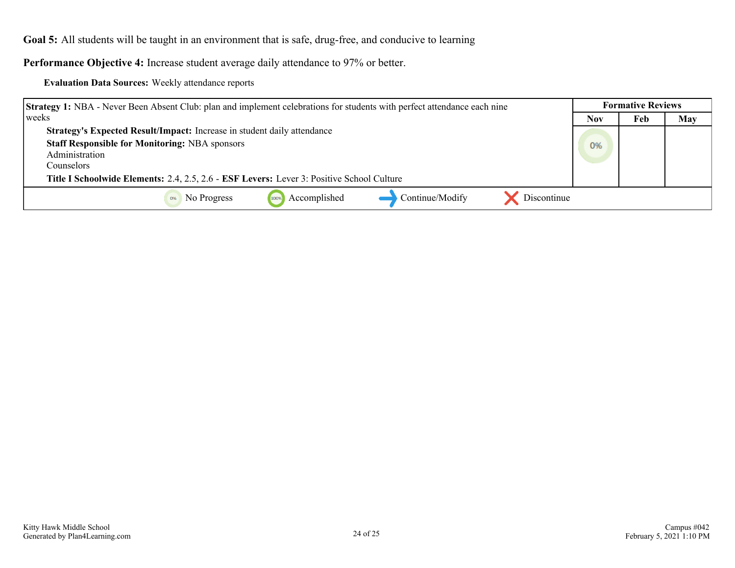**Performance Objective 4:** Increase student average daily attendance to 97% or better.

|  | <b>Evaluation Data Sources: Weekly attendance reports</b> |
|--|-----------------------------------------------------------|
|--|-----------------------------------------------------------|

| <b>Strategy 1:</b> NBA - Never Been Absent Club: plan and implement celebrations for students with perfect attendance each nine | <b>Formative Reviews</b> |     |     |
|---------------------------------------------------------------------------------------------------------------------------------|--------------------------|-----|-----|
| weeks                                                                                                                           | <b>Nov</b>               | Feb | May |
| Strategy's Expected Result/Impact: Increase in student daily attendance                                                         |                          |     |     |
| <b>Staff Responsible for Monitoring: NBA sponsors</b>                                                                           | 0%                       |     |     |
| Administration                                                                                                                  |                          |     |     |
| Counselors :                                                                                                                    |                          |     |     |
| Title I Schoolwide Elements: 2.4, 2.5, 2.6 - ESF Levers: Lever 3: Positive School Culture                                       |                          |     |     |
| Discontinue<br>Accomplished<br>Continue/Modify<br>No Progress                                                                   |                          |     |     |